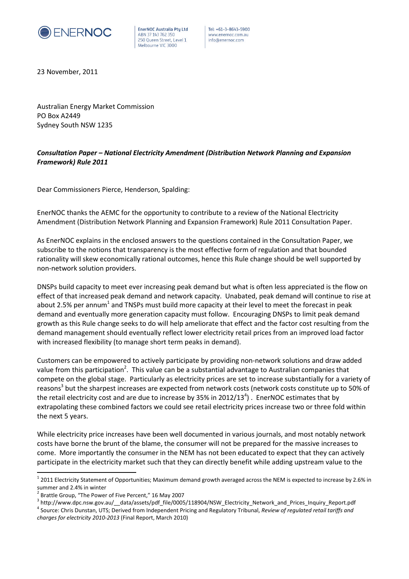

EnerNOC Australia Pty Ltd ABN 37 143 762 350 250 Queen Street, Level 1 Melbourne VIC 3000

Tel: +61-3-8643-5900 www.enernoc.com.au info@enernoc.com

23 November, 2011

Australian Energy Market Commission PO Box A2449 Sydney South NSW 1235

### *Consultation Paper – National Electricity Amendment (Distribution Network Planning and Expansion Framework) Rule 2011*

Dear Commissioners Pierce, Henderson, Spalding:

EnerNOC thanks the AEMC for the opportunity to contribute to a review of the National Electricity Amendment (Distribution Network Planning and Expansion Framework) Rule 2011 Consultation Paper.

As EnerNOC explains in the enclosed answers to the questions contained in the Consultation Paper, we subscribe to the notions that transparency is the most effective form of regulation and that bounded rationality will skew economically rational outcomes, hence this Rule change should be well supported by non-network solution providers.

DNSPs build capacity to meet ever increasing peak demand but what is often less appreciated is the flow on effect of that increased peak demand and network capacity. Unabated, peak demand will continue to rise at about 2.5% per annum<sup>1</sup> and TNSPs must build more capacity at their level to meet the forecast in peak demand and eventually more generation capacity must follow. Encouraging DNSPs to limit peak demand growth as this Rule change seeks to do will help ameliorate that effect and the factor cost resulting from the demand management should eventually reflect lower electricity retail prices from an improved load factor with increased flexibility (to manage short term peaks in demand).

Customers can be empowered to actively participate by providing non-network solutions and draw added value from this participation<sup>2</sup>. This value can be a substantial advantage to Australian companies that compete on the global stage. Particularly as electricity prices are set to increase substantially for a variety of reasons<sup>3</sup> but the sharpest increases are expected from network costs (network costs constitute up to 50% of the retail electricity cost and are due to increase by 35% in 2012/13<sup>4</sup>). EnerNOC estimates that by extrapolating these combined factors we could see retail electricity prices increase two or three fold within the next 5 years.

While electricity price increases have been well documented in various journals, and most notably network costs have borne the brunt of the blame, the consumer will not be prepared for the massive increases to come. More importantly the consumer in the NEM has not been educated to expect that they can actively participate in the electricity market such that they can directly benefit while adding upstream value to the

 $^1$  2011 Electricity Statement of Opportunities; Maximum demand growth averaged across the NEM is expected to increase by 2.6% in summer and 2.4% in winter

 $2$  Brattle Group, "The Power of Five Percent," 16 May 2007

<sup>&</sup>lt;sup>3</sup> http://www.dpc.nsw.gov.au/\_\_data/assets/pdf\_file/0005/118904/NSW\_Electricity\_Network\_and\_Prices\_Inquiry\_Report.pdf

<sup>4</sup> Source: Chris Dunstan, UTS; Derived from Independent Pricing and Regulatory Tribunal, *Review of regulated retail tariffs and charges for electricity 2010-2013* (Final Report, March 2010)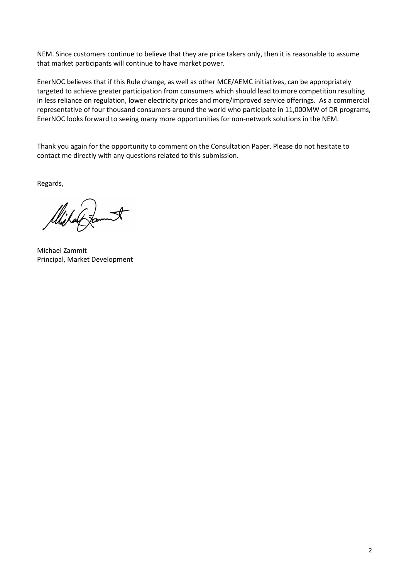NEM. Since customers continue to believe that they are price takers only, then it is reasonable to assume that market participants will continue to have market power.

EnerNOC believes that if this Rule change, as well as other MCE/AEMC initiatives, can be appropriately targeted to achieve greater participation from consumers which should lead to more competition resulting in less reliance on regulation, lower electricity prices and more/improved service offerings. As a commercial representative of four thousand consumers around the world who participate in 11,000MW of DR programs, EnerNOC looks forward to seeing many more opportunities for non-network solutions in the NEM.

Thank you again for the opportunity to comment on the Consultation Paper. Please do not hesitate to contact me directly with any questions related to this submission.

Regards,

Wijkanf famit

Michael Zammit Principal, Market Development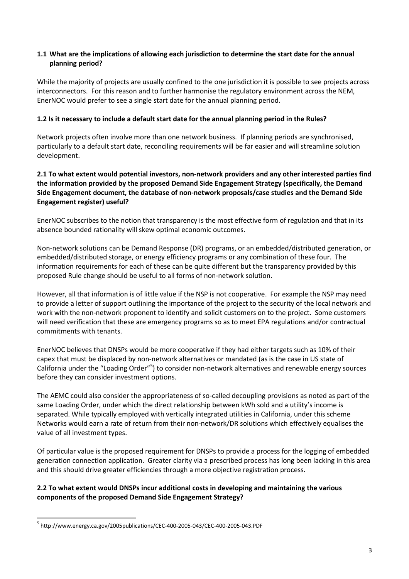### **1.1 What are the implications of allowing each jurisdiction to determine the start date for the annual planning period?**

While the majority of projects are usually confined to the one jurisdiction it is possible to see projects across interconnectors. For this reason and to further harmonise the regulatory environment across the NEM, EnerNOC would prefer to see a single start date for the annual planning period.

### **1.2 Is it necessary to include a default start date for the annual planning period in the Rules?**

Network projects often involve more than one network business. If planning periods are synchronised, particularly to a default start date, reconciling requirements will be far easier and will streamline solution development.

### **2.1 To what extent would potential investors, non-network providers and any other interested parties find the information provided by the proposed Demand Side Engagement Strategy (specifically, the Demand Side Engagement document, the database of non-network proposals/case studies and the Demand Side Engagement register) useful?**

EnerNOC subscribes to the notion that transparency is the most effective form of regulation and that in its absence bounded rationality will skew optimal economic outcomes.

Non-network solutions can be Demand Response (DR) programs, or an embedded/distributed generation, or embedded/distributed storage, or energy efficiency programs or any combination of these four. The information requirements for each of these can be quite different but the transparency provided by this proposed Rule change should be useful to all forms of non-network solution.

However, all that information is of little value if the NSP is not cooperative. For example the NSP may need to provide a letter of support outlining the importance of the project to the security of the local network and work with the non-network proponent to identify and solicit customers on to the project. Some customers will need verification that these are emergency programs so as to meet EPA regulations and/or contractual commitments with tenants.

EnerNOC believes that DNSPs would be more cooperative if they had either targets such as 10% of their capex that must be displaced by non-network alternatives or mandated (as is the case in US state of California under the "Loading Order"<sup>5</sup>) to consider non-network alternatives and renewable energy sources before they can consider investment options.

The AEMC could also consider the appropriateness of so-called decoupling provisions as noted as part of the same Loading Order, under which the direct relationship between kWh sold and a utility's income is separated. While typically employed with vertically integrated utilities in California, under this scheme Networks would earn a rate of return from their non-network/DR solutions which effectively equalises the value of all investment types.

Of particular value is the proposed requirement for DNSPs to provide a process for the logging of embedded generation connection application. Greater clarity via a prescribed process has long been lacking in this area and this should drive greater efficiencies through a more objective registration process.

### **2.2 To what extent would DNSPs incur additional costs in developing and maintaining the various components of the proposed Demand Side Engagement Strategy?**

<sup>&</sup>lt;sup>5</sup> http://www.energy.ca.gov/2005publications/CEC-400-2005-043/CEC-400-2005-043.PDF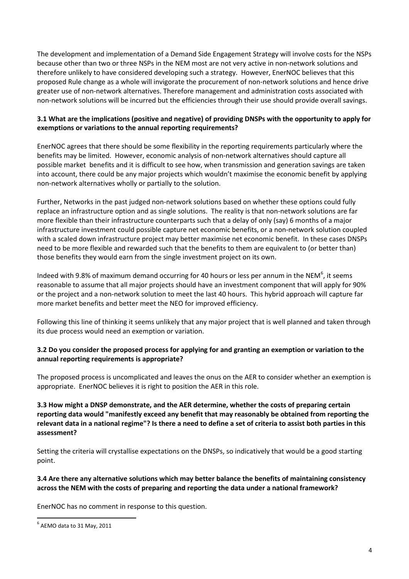The development and implementation of a Demand Side Engagement Strategy will involve costs for the NSPs because other than two or three NSPs in the NEM most are not very active in non-network solutions and therefore unlikely to have considered developing such a strategy. However, EnerNOC believes that this proposed Rule change as a whole will invigorate the procurement of non-network solutions and hence drive greater use of non-network alternatives. Therefore management and administration costs associated with non-network solutions will be incurred but the efficiencies through their use should provide overall savings.

### **3.1 What are the implications (positive and negative) of providing DNSPs with the opportunity to apply for exemptions or variations to the annual reporting requirements?**

EnerNOC agrees that there should be some flexibility in the reporting requirements particularly where the benefits may be limited. However, economic analysis of non-network alternatives should capture all possible market benefits and it is difficult to see how, when transmission and generation savings are taken into account, there could be any major projects which wouldn't maximise the economic benefit by applying non-network alternatives wholly or partially to the solution.

Further, Networks in the past judged non-network solutions based on whether these options could fully replace an infrastructure option and as single solutions. The reality is that non-network solutions are far more flexible than their infrastructure counterparts such that a delay of only (say) 6 months of a major infrastructure investment could possible capture net economic benefits, or a non-network solution coupled with a scaled down infrastructure project may better maximise net economic benefit. In these cases DNSPs need to be more flexible and rewarded such that the benefits to them are equivalent to (or better than) those benefits they would earn from the single investment project on its own.

Indeed with 9.8% of maximum demand occurring for 40 hours or less per annum in the NEM<sup>6</sup>, it seems reasonable to assume that all major projects should have an investment component that will apply for 90% or the project and a non-network solution to meet the last 40 hours. This hybrid approach will capture far more market benefits and better meet the NEO for improved efficiency.

Following this line of thinking it seems unlikely that any major project that is well planned and taken through its due process would need an exemption or variation.

## **3.2 Do you consider the proposed process for applying for and granting an exemption or variation to the annual reporting requirements is appropriate?**

The proposed process is uncomplicated and leaves the onus on the AER to consider whether an exemption is appropriate. EnerNOC believes it is right to position the AER in this role.

### **3.3 How might a DNSP demonstrate, and the AER determine, whether the costs of preparing certain reporting data would "manifestly exceed any benefit that may reasonably be obtained from reporting the relevant data in a national regime"? Is there a need to define a set of criteria to assist both parties in this assessment?**

Setting the criteria will crystallise expectations on the DNSPs, so indicatively that would be a good starting point.

#### **3.4 Are there any alternative solutions which may better balance the benefits of maintaining consistency across the NEM with the costs of preparing and reporting the data under a national framework?**

EnerNOC has no comment in response to this question.

 $^6$  AEMO data to 31 May, 2011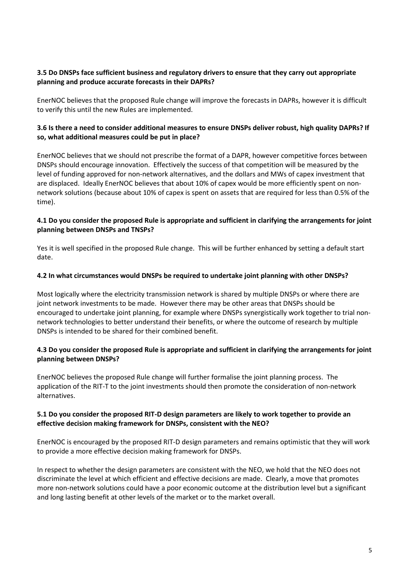### **3.5 Do DNSPs face sufficient business and regulatory drivers to ensure that they carry out appropriate planning and produce accurate forecasts in their DAPRs?**

EnerNOC believes that the proposed Rule change will improve the forecasts in DAPRs, however it is difficult to verify this until the new Rules are implemented.

### **3.6 Is there a need to consider additional measures to ensure DNSPs deliver robust, high quality DAPRs? If so, what additional measures could be put in place?**

EnerNOC believes that we should not prescribe the format of a DAPR, however competitive forces between DNSPs should encourage innovation. Effectively the success of that competition will be measured by the level of funding approved for non-network alternatives, and the dollars and MWs of capex investment that are displaced. Ideally EnerNOC believes that about 10% of capex would be more efficiently spent on nonnetwork solutions (because about 10% of capex is spent on assets that are required for less than 0.5% of the time).

### **4.1 Do you consider the proposed Rule is appropriate and sufficient in clarifying the arrangements for joint planning between DNSPs and TNSPs?**

Yes it is well specified in the proposed Rule change. This will be further enhanced by setting a default start date.

#### **4.2 In what circumstances would DNSPs be required to undertake joint planning with other DNSPs?**

Most logically where the electricity transmission network is shared by multiple DNSPs or where there are joint network investments to be made. However there may be other areas that DNSPs should be encouraged to undertake joint planning, for example where DNSPs synergistically work together to trial nonnetwork technologies to better understand their benefits, or where the outcome of research by multiple DNSPs is intended to be shared for their combined benefit.

#### **4.3 Do you consider the proposed Rule is appropriate and sufficient in clarifying the arrangements for joint planning between DNSPs?**

EnerNOC believes the proposed Rule change will further formalise the joint planning process. The application of the RIT-T to the joint investments should then promote the consideration of non-network alternatives.

#### **5.1 Do you consider the proposed RIT-D design parameters are likely to work together to provide an effective decision making framework for DNSPs, consistent with the NEO?**

EnerNOC is encouraged by the proposed RIT-D design parameters and remains optimistic that they will work to provide a more effective decision making framework for DNSPs.

In respect to whether the design parameters are consistent with the NEO, we hold that the NEO does not discriminate the level at which efficient and effective decisions are made. Clearly, a move that promotes more non-network solutions could have a poor economic outcome at the distribution level but a significant and long lasting benefit at other levels of the market or to the market overall.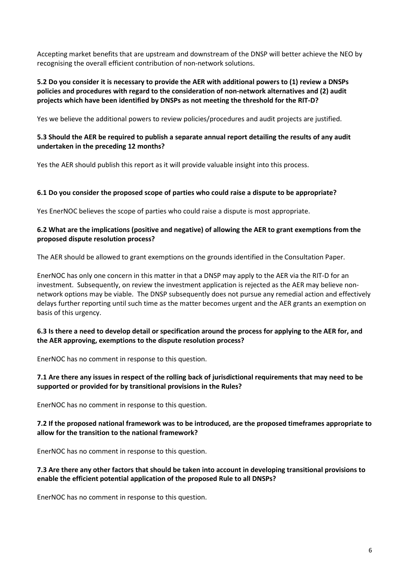Accepting market benefits that are upstream and downstream of the DNSP will better achieve the NEO by recognising the overall efficient contribution of non-network solutions.

### **5.2 Do you consider it is necessary to provide the AER with additional powers to (1) review a DNSPs policies and procedures with regard to the consideration of non-network alternatives and (2) audit projects which have been identified by DNSPs as not meeting the threshold for the RIT-D?**

Yes we believe the additional powers to review policies/procedures and audit projects are justified.

### **5.3 Should the AER be required to publish a separate annual report detailing the results of any audit undertaken in the preceding 12 months?**

Yes the AER should publish this report as it will provide valuable insight into this process.

### **6.1 Do you consider the proposed scope of parties who could raise a dispute to be appropriate?**

Yes EnerNOC believes the scope of parties who could raise a dispute is most appropriate.

#### **6.2 What are the implications (positive and negative) of allowing the AER to grant exemptions from the proposed dispute resolution process?**

The AER should be allowed to grant exemptions on the grounds identified in the Consultation Paper.

EnerNOC has only one concern in this matter in that a DNSP may apply to the AER via the RIT-D for an investment. Subsequently, on review the investment application is rejected as the AER may believe nonnetwork options may be viable. The DNSP subsequently does not pursue any remedial action and effectively delays further reporting until such time as the matter becomes urgent and the AER grants an exemption on basis of this urgency.

### **6.3 Is there a need to develop detail or specification around the process for applying to the AER for, and the AER approving, exemptions to the dispute resolution process?**

EnerNOC has no comment in response to this question.

### **7.1 Are there any issues in respect of the rolling back of jurisdictional requirements that may need to be supported or provided for by transitional provisions in the Rules?**

EnerNOC has no comment in response to this question.

#### **7.2 If the proposed national framework was to be introduced, are the proposed timeframes appropriate to allow for the transition to the national framework?**

EnerNOC has no comment in response to this question.

### **7.3 Are there any other factors that should be taken into account in developing transitional provisions to enable the efficient potential application of the proposed Rule to all DNSPs?**

EnerNOC has no comment in response to this question.